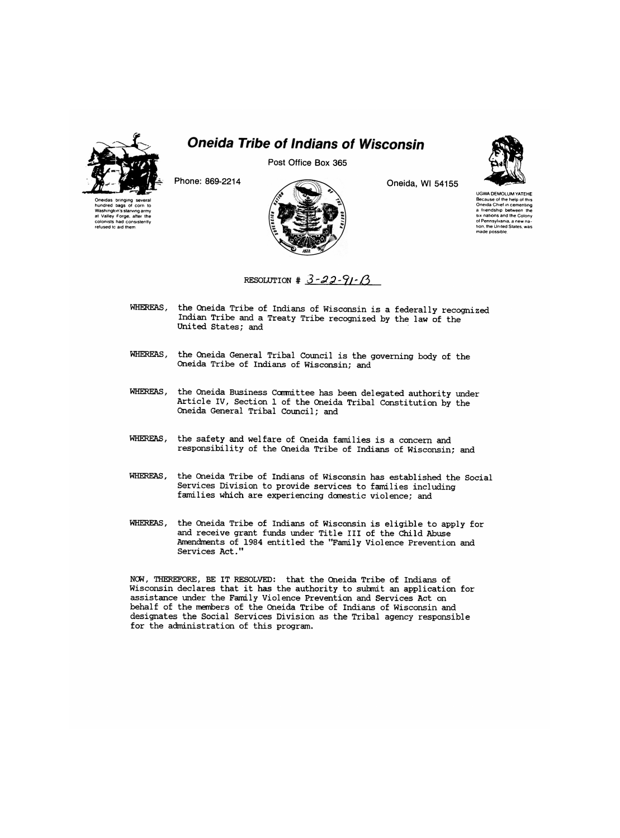

## *Oneida Tribe of Indians of Wisconsin*

**Post Office Box 365** 





**Phone: 869-2214 Oneida, Wl 54155** 



UGWA DEMOLUM YATEHE Because of the help of this Oneida Chief in cementing a friendship between the six nations and the Colony of Pennsylvania, a new nation, the United States, was made possible

RESOLUTION  $# 3-22-91-6$ 

- WHEREAS, the Oneida Tribe of Indians of Wisconsin is a federally recognized Indian Tribe and a Treaty Tribe recognized by the law of the United States; and
- WHEREAS, the Oneida General Tribal Council is the governing body of the Oneida Tribe of Indians of Wisconsin; and
- WHEREAS, the Oneida Business Committee has been delegated authority under Article IV, Section 1 of the Oneida Tribal Constitution by the Oneida General Tribal Council; and
- WHEREAS, the safety and welfare of Oneida families is a concern and responsibility of the Oneida Tribe of Indians of Wisconsin; and
- WHEREAS, the Oneida Tribe of Indians of Wisconsin has established the Social Services Division to provide services to families including families which are experiencing domestic violence; and
- WHEREAS, the Oneida Tribe of Indians of Wisconsin is eligible to apply for and receive grant funds under Title III of the Child Abuse Amendments of 1984 entitled the "Family Violence Prevention and Services Act."

NCW, THEREFORE, BE IT RESOLVED: that the Oneida Tribe of Indians of Wisconsin declares that it has the authority to submit an application for assistance under the Family Violence Prevention and Services Act on behalf of the members of the Oneida Tribe of Indians of Wisconsin and designates the Social Services Division as the Tribal agency responsible for the administration of this program.